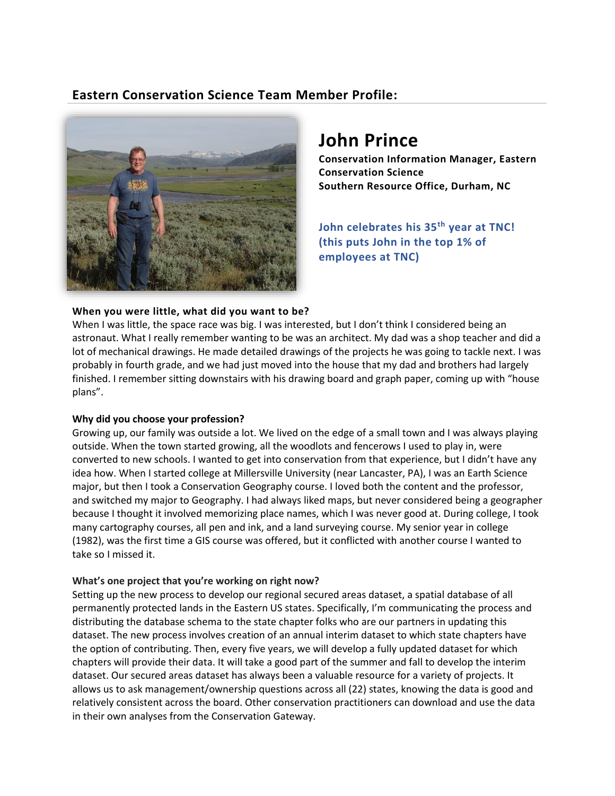# **Eastern Conservation Science Team Member Profile:**



# **John Prince**

**Conservation Information Manager, Eastern Conservation Science Southern Resource Office, Durham, NC** 

**John celebrates his 35th year at TNC! (this puts John in the top 1% of employees at TNC)**

## **When you were little, what did you want to be?**

When I was little, the space race was big. I was interested, but I don't think I considered being an astronaut. What I really remember wanting to be was an architect. My dad was a shop teacher and did a lot of mechanical drawings. He made detailed drawings of the projects he was going to tackle next. I was probably in fourth grade, and we had just moved into the house that my dad and brothers had largely finished. I remember sitting downstairs with his drawing board and graph paper, coming up with "house plans".

#### **Why did you choose your profession?**

Growing up, our family was outside a lot. We lived on the edge of a small town and I was always playing outside. When the town started growing, all the woodlots and fencerows I used to play in, were converted to new schools. I wanted to get into conservation from that experience, but I didn't have any idea how. When I started college at Millersville University (near Lancaster, PA), I was an Earth Science major, but then I took a Conservation Geography course. I loved both the content and the professor, and switched my major to Geography. I had always liked maps, but never considered being a geographer because I thought it involved memorizing place names, which I was never good at. During college, I took many cartography courses, all pen and ink, and a land surveying course. My senior year in college (1982), was the first time a GIS course was offered, but it conflicted with another course I wanted to take so I missed it.

#### **What's one project that you're working on right now?**

Setting up the new process to develop our regional secured areas dataset, a spatial database of all permanently protected lands in the Eastern US states. Specifically, I'm communicating the process and distributing the database schema to the state chapter folks who are our partners in updating this dataset. The new process involves creation of an annual interim dataset to which state chapters have the option of contributing. Then, every five years, we will develop a fully updated dataset for which chapters will provide their data. It will take a good part of the summer and fall to develop the interim dataset. Our secured areas dataset has always been a valuable resource for a variety of projects. It allows us to ask management/ownership questions across all (22) states, knowing the data is good and relatively consistent across the board. Other conservation practitioners can download and use the data in their own analyses from the Conservation Gateway.